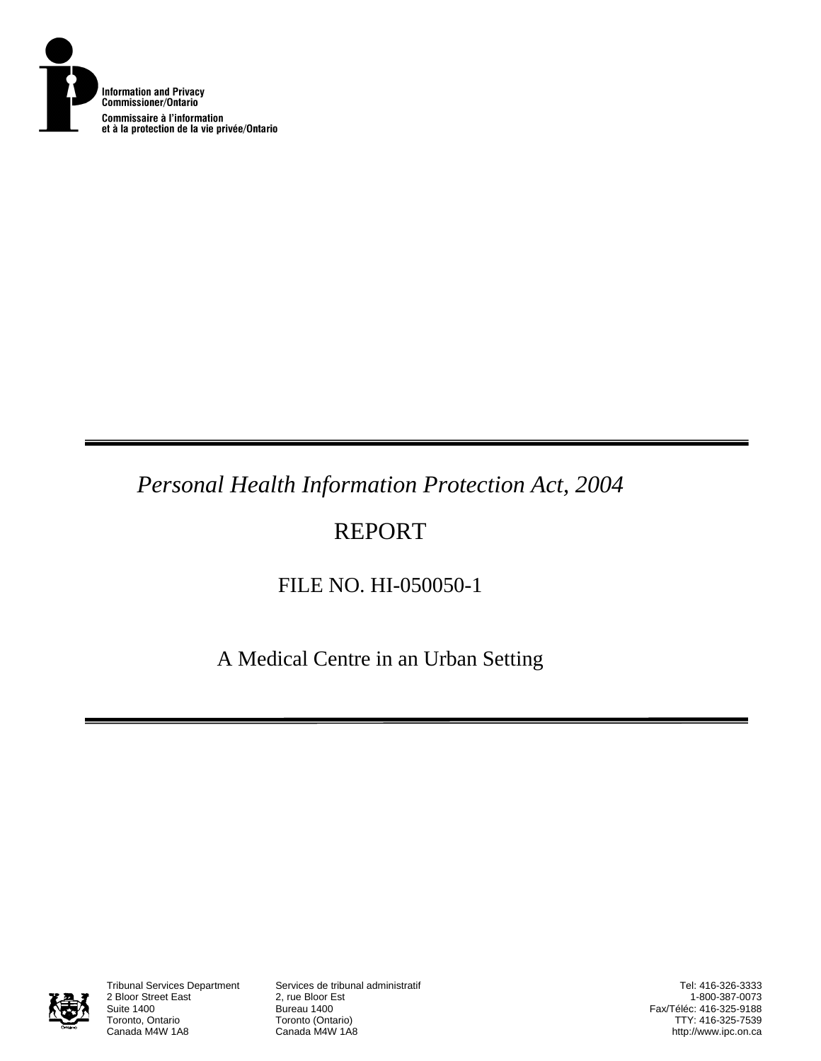

## *Personal Health Information Protection Act, 2004*

# REPORT

### FILE NO. HI-050050-1

A Medical Centre in an Urban Setting



2 Bloor Street East<br>Suite 1400 Suite 1400<br>Toronto, Ontario **Bureau 1400**<br>Toronto (Onta Toronto, Ontario **Toronto (Ontario)**<br>Canada M4W 1A8 **Canada M4W 1A8** 

Tribunal Services Department Services de tribunal administratif

Tel: 416-326-3333 1-800-387-0073 Fax/Téléc: 416-325-9188 TTY: 416-325-7539 http://www.ipc.on.ca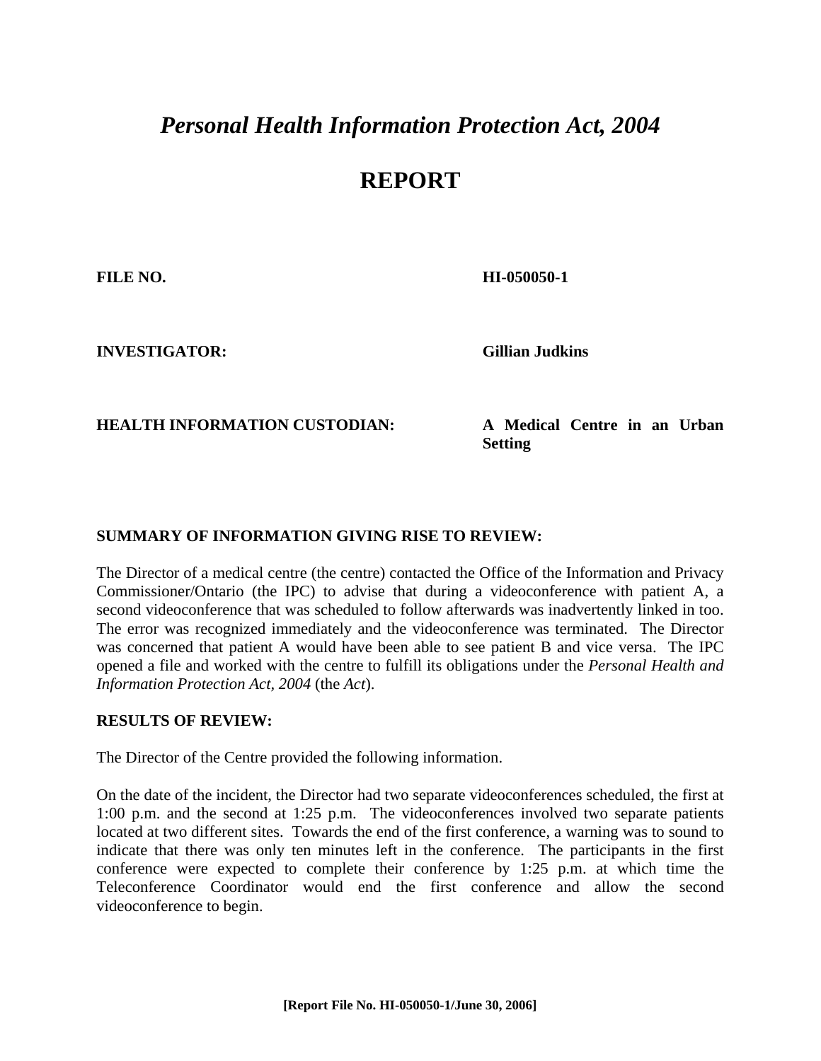## *Personal Health Information Protection Act, 2004*

### **REPORT**

**FILE NO. HI-050050-1** 

**INVESTIGATOR: Gillian Judkins**

#### **HEALTH INFORMATION CUSTODIAN: A Medical Centre in an Urban**

**Setting** 

### **SUMMARY OF INFORMATION GIVING RISE TO REVIEW:**

The Director of a medical centre (the centre) contacted the Office of the Information and Privacy Commissioner/Ontario (the IPC) to advise that during a videoconference with patient A, a second videoconference that was scheduled to follow afterwards was inadvertently linked in too. The error was recognized immediately and the videoconference was terminated. The Director was concerned that patient A would have been able to see patient B and vice versa. The IPC opened a file and worked with the centre to fulfill its obligations under the *Personal Health and Information Protection Act, 2004* (the *Act*).

#### **RESULTS OF REVIEW:**

The Director of the Centre provided the following information.

On the date of the incident, the Director had two separate videoconferences scheduled, the first at 1:00 p.m. and the second at 1:25 p.m. The videoconferences involved two separate patients located at two different sites. Towards the end of the first conference, a warning was to sound to indicate that there was only ten minutes left in the conference. The participants in the first conference were expected to complete their conference by 1:25 p.m. at which time the Teleconference Coordinator would end the first conference and allow the second videoconference to begin.